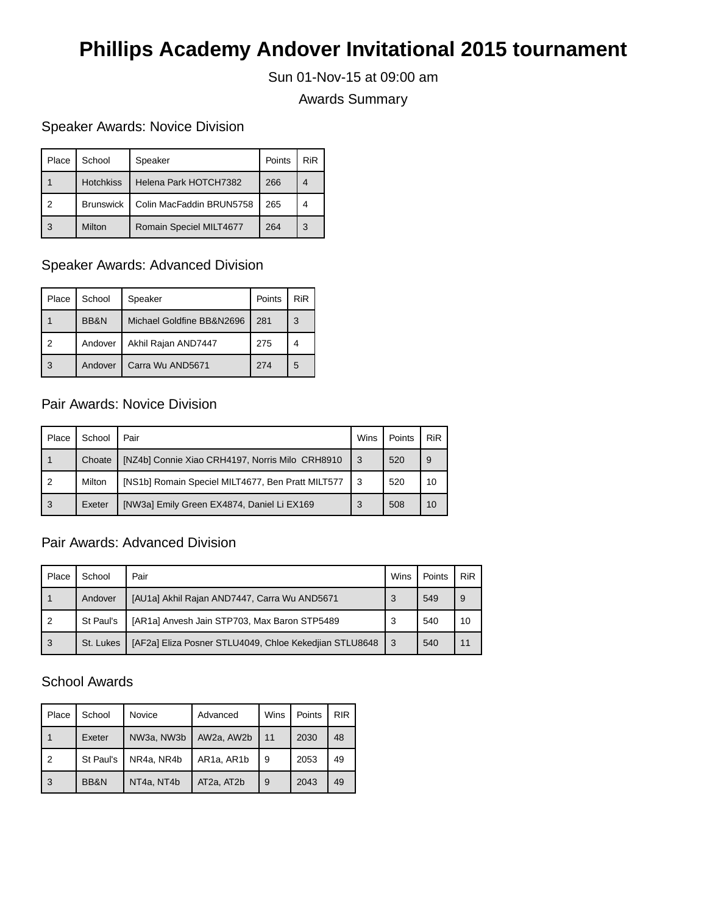# **Phillips Academy Andover Invitational 2015 tournament**

Sun 01-Nov-15 at 09:00 am

Awards Summary

## Speaker Awards: Novice Division

| Place | School           | Speaker                  | Points | <b>RiR</b> |
|-------|------------------|--------------------------|--------|------------|
|       | <b>Hotchkiss</b> | Helena Park HOTCH7382    | 266    | 4          |
| າ     | <b>Brunswick</b> | Colin MacFaddin BRUN5758 | 265    | 4          |
|       | Milton           | Romain Speciel MILT4677  | 264    | 3          |

## Speaker Awards: Advanced Division

| Place | School  | Speaker                   | Points | <b>RiR</b> |
|-------|---------|---------------------------|--------|------------|
|       | BB&N    | Michael Goldfine BB&N2696 | 281    | 3          |
| っ     | Andover | Akhil Rajan AND7447       | 275    |            |
| 3     | Andover | Carra Wu AND5671          | 274    | 5          |

## Pair Awards: Novice Division

| Place          | School | Pair                                              | Wins | Points | <b>RiR</b> |
|----------------|--------|---------------------------------------------------|------|--------|------------|
|                | Choate | [NZ4b] Connie Xiao CRH4197, Norris Milo CRH8910   | 3    | 520    | l 9        |
| $\overline{2}$ | Milton | [NS1b] Romain Speciel MILT4677, Ben Pratt MILT577 | -3   | 520    | 10         |
| 3              | Exeter | [NW3a] Emily Green EX4874, Daniel Li EX169        | 3    | 508    | 10         |

# Pair Awards: Advanced Division

| Place | School    | Pair                                                   | Wins | Points | <b>RiR</b> |
|-------|-----------|--------------------------------------------------------|------|--------|------------|
|       | Andover   | [AU1a] Akhil Rajan AND7447, Carra Wu AND5671           | 3    | 549    |            |
| 2     | St Paul's | [AR1a] Anvesh Jain STP703, Max Baron STP5489           | 3    | 540    | 10         |
| 3     | St. Lukes | [AF2a] Eliza Posner STLU4049, Chloe Kekedijan STLU8648 | 3    | 540    | 11         |

#### School Awards

| Place | School    | Novice     | Advanced   | Wins | Points | <b>RIR</b> |
|-------|-----------|------------|------------|------|--------|------------|
|       | Exeter    | NW3a, NW3b | AW2a, AW2b | 11   | 2030   | 48         |
| 2     | St Paul's | NR4a, NR4b | AR1a, AR1b | 9    | 2053   | 49         |
| 3     | BB&N      | NT4a, NT4b | AT2a, AT2b | 9    | 2043   | 49         |